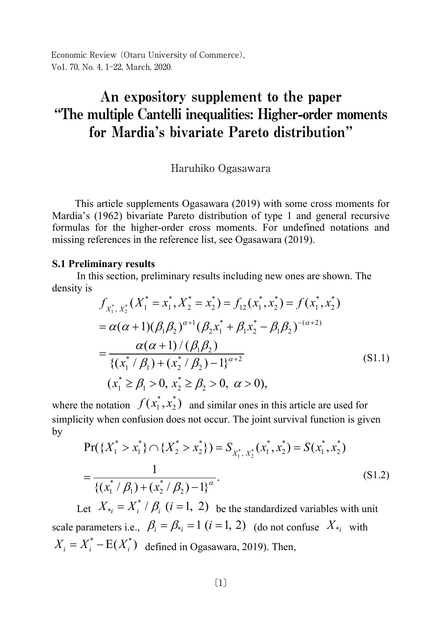Economic Review (Otaru University of Commerce), Vo1. 70, No. 4, 1-22, March, 2020.

# An expository supplement to the paper "The multiple Cantelli inequalities: Higher-order moments for Mardia's bivariate Pareto distribution"

Haruhiko Ogasawara

This article supplements Ogasawara (2019) with some cross moments for Mardia's (1962) bivariate Pareto distribution of type 1 and general recursive formulas for the higher-order cross moments. For undefined notations and missing references in the reference list, see Ogasawara (2019).

### S.1 Preliminary results

In this section, preliminary results including new ones are shown. The density is

$$
f_{X_1^*, X_2^*}(X_1^* = x_1^*, X_2^* = x_2^*) = f_{12}(x_1^*, x_2^*) = f(x_1^*, x_2^*)
$$
  
=  $\alpha(\alpha + 1)(\beta_1\beta_2)^{\alpha+1}(\beta_2x_1^* + \beta_1x_2^* - \beta_1\beta_2)^{-(\alpha+2)}$   
=  $\frac{\alpha(\alpha + 1)/(\beta_1\beta_2)}{\{(x_1^*/\beta_1) + (x_2^*/\beta_2) - 1\}^{\alpha+2}}$  (S1.1)  
 $(x_1^* \ge \beta_1 > 0, x_2^* \ge \beta_2 > 0, \ \alpha > 0),$ 

where the notation  $f(x_1^*, x_2^*)$  and similar ones in this article are used for simplicity when confusion does not occur. The joint survival function is given by

$$
Pr({X_1^* > x_1^*} \cap {X_2^* > x_2^*}) = S_{X_1^*, X_2^*}(x_1^*, x_2^*) = S(x_1^*, x_2^*)
$$
  
= 
$$
\frac{1}{\{(x_1^* / \beta_1) + (x_2^* / \beta_2) - 1\}^\alpha}.
$$
 (S1.2)

Let  $X_{i} = X_{i}^{*} / \beta_{i}$   $(i = 1, 2)$  be the standardized variables with unit scale parameters i.e.,  $\beta_i = \beta_{\dot{i}} = 1$   $(i = 1, 2)$  (do not confuse  $X_{\dot{i}}$  with  $X_i = X_i^* - E(X_i^*)$  defined in Ogasawara, 2019). Then,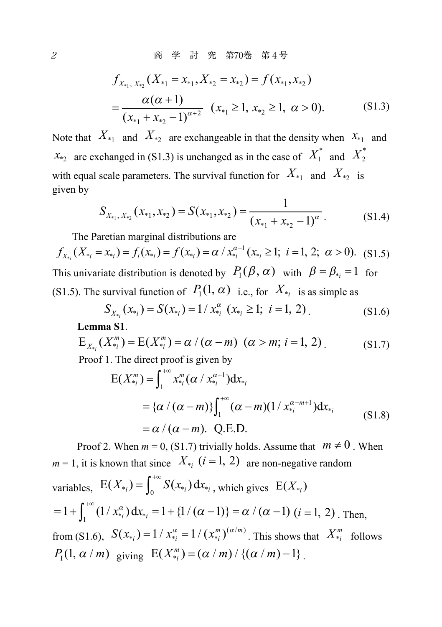2 商 学 討 究 第70巻 第4号

$$
f_{X_{*1}, X_{*2}}(X_{*1} = x_{*1}, X_{*2} = x_{*2}) = f(x_{*1}, x_{*2})
$$
  
= 
$$
\frac{\alpha(\alpha + 1)}{(x_{*1} + x_{*2} - 1)^{\alpha + 2}} (x_{*1} \ge 1, x_{*2} \ge 1, \alpha > 0).
$$
 (S1.3)

Note that  $X_{*1}$  and  $X_{*2}$  are exchangeable in that the density when  $X_{*1}$  and  $x_{*2}$  are exchanged in (S1.3) is unchanged as in the case of  $X_1^*$  and  $X_2^*$ with equal scale parameters. The survival function for  $X_{*1}$  and  $X_{*2}$  is given by

$$
S_{X_{*1}, X_{*2}}(x_{*1}, x_{*2}) = S(x_{*1}, x_{*2}) = \frac{1}{(x_{*1} + x_{*2} - 1)^{\alpha}}.
$$
 (S1.4)

The Paretian marginal distributions are

$$
f_{X_{*i}}(X_{*i} = x_{*i}) = f_i(x_{*i}) = f(x_{*i}) = \alpha / x_{*i}^{\alpha+1} (x_{*i} \ge 1; i = 1, 2; \alpha > 0). \quad (S1.5)
$$

This univariate distribution is denoted by  $P_1(\beta, \alpha)$  with  $\beta = \beta_{*_i} = 1$  for (S1.5). The survival function of  $P_1(1, \alpha)$  i.e., for  $X_{*i}$  is as simple as

$$
S_{X_{*_{i}}}(x_{*_{i}}) = S(x_{*_{i}}) = 1 / x_{*_{i}}^{\alpha} (x_{*_{i}} \ge 1; i = 1, 2)
$$
\n
$$
(S1.6)
$$

**Lemma S1**.

$$
E_{X_{*i}}(X_{*i}^m) = E(X_{*i}^m) = \alpha / (\alpha - m) \ (\alpha > m; \ i = 1, 2)
$$
\nProof 1. The direct proof is given by

\n
$$
E_{X_{*i}}(X_{*i}^m) = E(X_{*i}^m) = \alpha / (\alpha - m) \ (\alpha > m; \ i = 1, 2)
$$

Proof 1. The direct proof is given by

$$
E(X_{*_{i}}^{m}) = \int_{1}^{+\infty} x_{*_{i}}^{m} (\alpha / x_{*_{i}}^{\alpha+1}) dx_{*_{i}}
$$
  
= { $\alpha / (\alpha - m)$ }  $\int_{1}^{+\infty} (\alpha - m) (1 / x_{*_{i}}^{\alpha - m+1}) dx_{*_{i}}$   
=  $\alpha / (\alpha - m)$ . Q.E.D. (S1.8)

Proof 2. When  $m = 0$ , (S1.7) trivially holds. Assume that  $m \neq 0$ . When  $m = 1$ , it is known that since  $X_{\ast i}$   $(i = 1, 2)$  are non-negative random variables,  $E(X_{*_{i}}) = \int_{0}^{+\infty} S(x_{*_{i}}) dx_{*_{i}}$ , which gives  $E(X_{*_{i}})$  $= 1 + \int_1^{+\infty} (1/x_{*_i}^{\alpha}) dx_{*_i} = 1 + \{1/(\alpha - 1)\} = \alpha / (\alpha - 1) (i = 1, 2)$ . Then, from (S1.6),  $S(x_{*_{i}}) = 1/x_{*_{i}}^{\alpha} = 1/(x_{*_{i}}^{m})^{(\alpha/m)}$ . This shows that  $X_{*_{i}}^{m}$  follows  $P_{\rm I}(1, \alpha / m)$  giving  $E(X_{*_{i}}^{m}) = (\alpha / m) / \{(\alpha / m) - 1\}$ .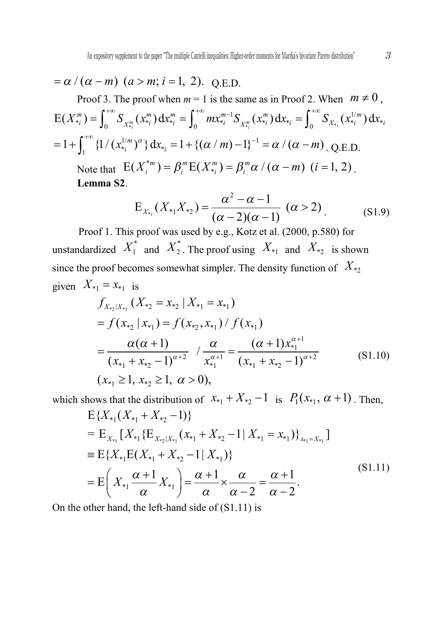$$
= \alpha / (\alpha - m) \quad (a > m; \, i = 1, \, 2). \quad \text{Q.E.D.}
$$

Proof 3. The proof when  $m = 1$  is the same as in Proof 2. When  $m \neq 0$ ,  $\frac{1}{\gamma_i}$   $\frac{1}{\gamma_i}$   $\frac{1}{\gamma_i}$   $\frac{1}{\gamma_i}$   $\frac{1}{\gamma_i}$   $\frac{1}{\gamma_i}$   $\frac{1}{\gamma_i}$   $\frac{1}{\gamma_i}$   $\frac{1}{\gamma_i}$   $\frac{1}{\gamma_i}$   $\frac{1}{\gamma_i}$   $\frac{1}{\gamma_i}$   $\frac{1}{\gamma_i}$   $\frac{1}{\gamma_i}$   $\frac{1}{\gamma_i}$   $\frac{1}{\gamma_i}$   $\frac{1}{\gamma_i}$   $\frac{1}{\gamma_i}$  $E(X_{*_i}^m) = \int_0^{+\infty} S_{X_{*_i}^m}(x_{*_i}^m) dx_{*_i}^m = \int_0^{+\infty} mx_{*_i}^{m-1} S_{X_{*_i}^m}(x_{*_i}^m) dx_{*_i} = \int_0^{+\infty} S_{X_{*_i}}(x_{*_i}^{1/m}) dx_{*_i}$  $=1+\int_1^{+\infty} \left\{1/(x_{*i}^{1/m})^{\alpha}\right\}dx_{*i} = 1+\left\{(\alpha/m)-1\right\}^{-1} = \alpha/(\alpha-m)$ . Q.E.D. Note that  $E(X_i^{*m}) = \beta_i^{m} E(X_{*i}^{m}) = \beta_i^{m} \alpha / (\alpha - m)$   $(i = 1, 2)$ . **Lemma S2**.

$$
E_{X_{*_{i}}}(X_{*_{1}}X_{*_{2}}) = \frac{\alpha^{2} - \alpha - 1}{(\alpha - 2)(\alpha - 1)} (\alpha > 2)
$$
 (S1.9)

Proof 1. This proof was used by e.g., Kotz et al. (2000, p.580) for unstandardized  $X_1^*$  and  $X_2^*$ . The proof using  $X_{*1}$  and  $X_{*2}$  is shown since the proof becomes somewhat simpler. The density function of  $X_{*}$ given  $X_{*1} = x_{*1}$  is

$$
f_{X_{*2}|X_{*1}}(X_{*2} = x_{*2} | X_{*1} = x_{*1})
$$
  
=  $f(x_{*2} | x_{*1}) = f(x_{*2}, x_{*1}) / f(x_{*1})$   
=  $\frac{\alpha(\alpha + 1)}{(x_{*1} + x_{*2} - 1)^{\alpha + 2}} / \frac{\alpha}{x_{*1}^{\alpha + 1}} = \frac{(\alpha + 1)x_{*1}^{\alpha + 1}}{(x_{*1} + x_{*2} - 1)^{\alpha + 2}}$  (S1.10)  
 $(x_{*1} \ge 1, x_{*2} \ge 1, \alpha > 0),$ 

which shows that the distribution of  $x_{*1} + X_{*2} - 1$  is  $P_1(x_{*1}, \alpha + 1)$ . Then,

$$
E\{X_{*1}(X_{*1} + X_{*2} - 1)\}
$$
  
=  $E_{X_{*1}}[X_{*1}\{E_{X_{*2}|X_{*1}}(x_{*1} + X_{*2} - 1 | X_{*1} = x_{*1})\}_{X_{*1} = X_{*1}}]$   
=  $E\{X_{*1}E(X_{*1} + X_{*2} - 1 | X_{*1})\}$   
=  $E\left(X_{*1}\frac{\alpha + 1}{\alpha}X_{*1}\right) = \frac{\alpha + 1}{\alpha} \times \frac{\alpha}{\alpha - 2} = \frac{\alpha + 1}{\alpha - 2}.$  (S1.11)

On the other hand, the left-hand side of (S1.11) is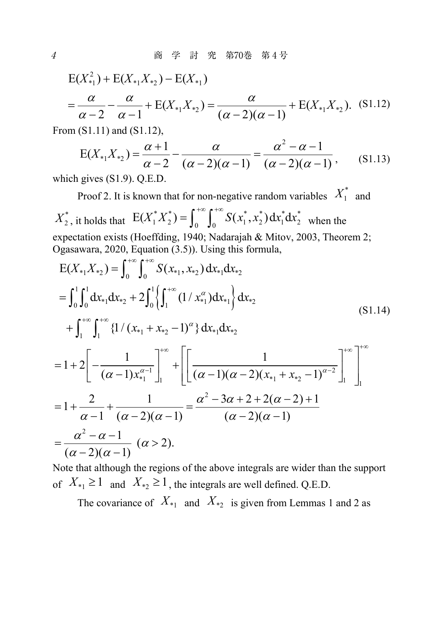$$
E(X_{*1}^2) + E(X_{*1}X_{*2}) - E(X_{*1})
$$
  
=  $\frac{\alpha}{\alpha - 2} - \frac{\alpha}{\alpha - 1} + E(X_{*1}X_{*2}) = \frac{\alpha}{(\alpha - 2)(\alpha - 1)} + E(X_{*1}X_{*2}).$  (S1.12)

From (S1.11) and (S1.12),

$$
E(X_{*1}X_{*2}) = \frac{\alpha+1}{\alpha-2} - \frac{\alpha}{(\alpha-2)(\alpha-1)} = \frac{\alpha^2 - \alpha - 1}{(\alpha-2)(\alpha-1)},
$$
 (S1.13)

which gives (S1.9). Q.E.D.

Proof 2. It is known that for non-negative random variables  $X_1^*$  and  $X_2^*$ , it holds that  $E(X_1^* X_2^*) = \int_0^{+\infty} \int_0^{+\infty} S(x_1^*, x_2^*) dx_1^* dx_2^*$  when the expectation exists (Hoeffding, 1940; Nadarajah & Mitov, 2003, Theorem 2; Ogasawara, 2020, Equation (3.5)). Using this formula,

$$
E(X_{*1}X_{*2}) = \int_{0}^{+\infty} \int_{0}^{+\infty} S(x_{*1}, x_{*2}) dx_{*1} dx_{*2}
$$
  
\n
$$
= \int_{0}^{1} \int_{0}^{1} dx_{*1} dx_{*2} + 2 \int_{0}^{1} \left\{ \int_{1}^{+\infty} (1/x_{*1}^{\alpha}) dx_{*1} \right\} dx_{*2}
$$
  
\n
$$
+ \int_{1}^{+\infty} \int_{1}^{+\infty} \left\{ 1/(x_{*1} + x_{*2} - 1)^{\alpha} \right\} dx_{*1} dx_{*2}
$$
  
\n
$$
= 1 + 2 \left[ -\frac{1}{(\alpha - 1)x_{*1}^{\alpha - 1}} \right]_{1}^{+\infty} + \left[ \left[ \frac{1}{(\alpha - 1)(\alpha - 2)(x_{*1} + x_{*2} - 1)^{\alpha - 2}} \right]_{1}^{+\infty} \right]_{1}^{+\infty}
$$
  
\n
$$
= 1 + \frac{2}{\alpha - 1} + \frac{1}{(\alpha - 2)(\alpha - 1)} = \frac{\alpha^{2} - 3\alpha + 2 + 2(\alpha - 2) + 1}{(\alpha - 2)(\alpha - 1)}
$$
  
\n
$$
= \frac{\alpha^{2} - \alpha - 1}{(\alpha - 2)(\alpha - 1)} \quad (\alpha > 2).
$$
  
\n(S1.14)

Note that although the regions of the above integrals are wider than the support of  $X_{*1} \ge 1$  and  $X_{*2} \ge 1$ , the integrals are well defined. Q.E.D.

The covariance of  $X_{*1}$  and  $X_{*2}$  is given from Lemmas 1 and 2 as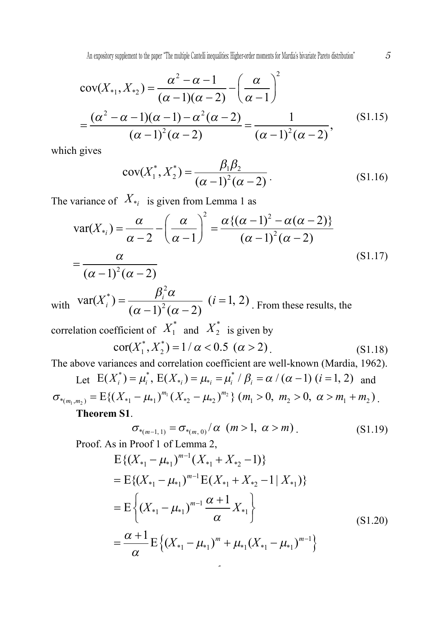$$
cov(X_{*1}, X_{*2}) = \frac{\alpha^2 - \alpha - 1}{(\alpha - 1)(\alpha - 2)} - \left(\frac{\alpha}{\alpha - 1}\right)^2
$$
  
= 
$$
\frac{(\alpha^2 - \alpha - 1)(\alpha - 1) - \alpha^2(\alpha - 2)}{(\alpha - 1)^2(\alpha - 2)} = \frac{1}{(\alpha - 1)^2(\alpha - 2)},
$$
(S1.15)

which gives

$$
cov(X_1^*, X_2^*) = \frac{\beta_1 \beta_2}{(\alpha - 1)^2 (\alpha - 2)}.
$$
 (S1.16)

The variance of  $X_{*i}$  is given from Lemma 1 as

$$
\operatorname{var}(X_{*_i}) = \frac{\alpha}{\alpha - 2} - \left(\frac{\alpha}{\alpha - 1}\right)^2 = \frac{\alpha \{(\alpha - 1)^2 - \alpha(\alpha - 2)\}}{(\alpha - 1)^2 (\alpha - 2)}
$$
  
=  $\frac{\alpha}{(\alpha - 1)^2 (\alpha - 2)}$  (S1.17)

with  $var(X_i^*) = \frac{\beta_i^2 \alpha}{(\alpha - 1)^2 (\alpha - 2)}$   $(i = 1, 2)$ . From these results, the

correlation coefficient of  $X_1^*$  and  $X_2^*$  is given by

$$
cor(X_1^*, X_2^*) = 1 / \alpha < 0.5 \ (\alpha > 2)
$$
\n(S1.18)

The above variances and correlation coefficient are well-known (Mardia, 1962).

Let 
$$
E(X_i^*) = \mu_i^*
$$
,  $E(X_{*i}) = \mu_{*i} = \mu_i^* / \beta_i = \alpha / (\alpha - 1) (i = 1, 2)$  and  
\n
$$
\sigma_{*(m_1, m_2)} = E\{(X_{*1} - \mu_{*1})^{m_1} (X_{*2} - \mu_{*2})^{m_2}\} (m_1 > 0, m_2 > 0, \alpha > m_1 + m_2).
$$
\n**Theorem S1.**

5

$$
\sigma_{*(m-1,1)} = \sigma_{*(m,0)} / \alpha \quad (m > 1, \ \alpha > m) \tag{S1.19}
$$

Proof. As in Proof 1 of Lemma 2,

$$
E\{(X_{*1} - \mu_{*1})^{m-1}(X_{*1} + X_{*2} - 1)\}\
$$
  
= 
$$
E\{(X_{*1} - \mu_{*1})^{m-1}E(X_{*1} + X_{*2} - 1 | X_{*1})\}\
$$
  
= 
$$
E\left\{(X_{*1} - \mu_{*1})^{m-1}\frac{\alpha + 1}{\alpha}X_{*1}\right\}
$$
  
= 
$$
\frac{\alpha + 1}{\alpha}E\{(X_{*1} - \mu_{*1})^{m} + \mu_{*1}(X_{*1} - \mu_{*1})^{m-1}\}
$$
 (S1.20)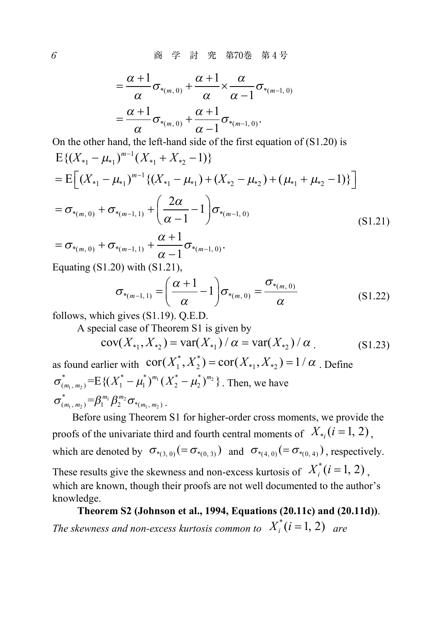6 商 学 討 究 第70巻 第 4 号

$$
=\frac{\alpha+1}{\alpha}\sigma_{*(m,0)} + \frac{\alpha+1}{\alpha} \times \frac{\alpha}{\alpha-1}\sigma_{*(m-1,0)}
$$

$$
=\frac{\alpha+1}{\alpha}\sigma_{*(m,0)} + \frac{\alpha+1}{\alpha-1}\sigma_{*(m-1,0)}.
$$

On the other hand, the left-hand side of the first equation of (S1.20) is

$$
E\{(X_{*1} - \mu_{*1})^{m-1}(X_{*1} + X_{*2} - 1)\}\
$$
  
= 
$$
E\left[ (X_{*1} - \mu_{*1})^{m-1} \{(X_{*1} - \mu_{*1}) + (X_{*2} - \mu_{*2}) + (\mu_{*1} + \mu_{*2} - 1)\}\right]
$$
  
= 
$$
\sigma_{*(m, 0)} + \sigma_{*(m-1, 1)} + \left(\frac{2\alpha}{\alpha - 1} - 1\right) \sigma_{*(m-1, 0)}
$$
(S1.21)  

$$
\alpha + 1
$$

$$
= \sigma_{*(m, 0)} + \sigma_{*(m-1, 1)} + \frac{\alpha + 1}{\alpha - 1} \sigma_{*(m-1, 0)}.
$$
  
Equating (S1.20) with (S1.21)

Equating (S1.20) with (S1.21),

$$
\sigma_{*(m-1,1)} = \left(\frac{\alpha+1}{\alpha}-1\right)\sigma_{*(m,0)} = \frac{\sigma_{*(m,0)}}{\alpha}
$$
\n(S1.22)

follows, which gives (S1.19). Q.E.D.

A special case of Theorem S1 is given by

$$
cov(X_{*1}, X_{*2}) = var(X_{*1}) / \alpha = var(X_{*2}) / \alpha
$$
 (S1.23)

as found earlier with  $\operatorname{cor}(X_1^*, X_2^*) = \operatorname{cor}(X_{*1}, X_{*2}) = 1/\alpha$ . Define  $\sum_{i_1, m_2}$  = E { $(X_1 - \mu_1)^{m_1} (X_2 - \mu_2)^{m_2}$  $\sigma_{(m_1, m_2)}^* = E\{(X_1^* - \mu_1^*)^{m_1} (X_2^* - \mu_2^*)^{m_2}\}\.$  Then, we have  $\sum_{n_1, m_2} = \beta_1^{m_1} \beta_2^{m_2} \sigma_{*_{m_1, m_2}}$  $\sigma^*_{_{(m_1, m_2)}} = \beta_1^{m_1} \beta_2^{m_2} \sigma_{*_{(m_1, m_2)}}$ .

Before using Theorem S1 for higher-order cross moments, we provide the proofs of the univariate third and fourth central moments of  $X_{*,}$  ( $i = 1, 2$ ). which are denoted by  $\sigma_{*(3, 0)} (= \sigma_{*(0, 3)})$  and  $\sigma_{*(4, 0)} (= \sigma_{*(0, 4)})$ , respectively. These results give the skewness and non-excess kurtosis of  $X_i^*(i = 1, 2)$ , which are known, though their proofs are not well documented to the author's knowledge.

# **Theorem S2 (Johnson et al., 1994, Equations (20.11c) and (20.11d))**.

*The skewness and non-excess kurtosis common to*  $X_i^*(i = 1, 2)$  *are*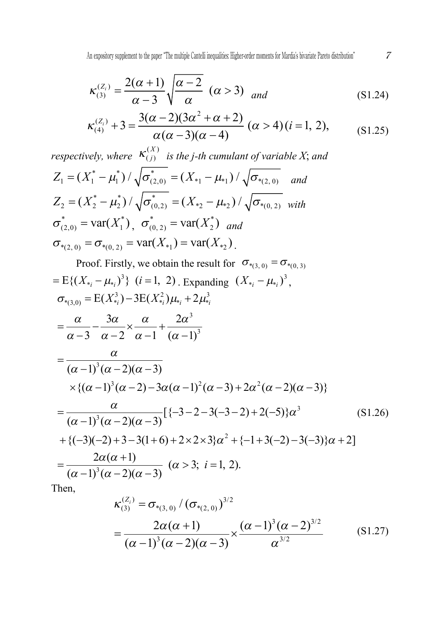$$
\kappa_{(3)}^{(Z_i)} = \frac{2(\alpha+1)}{\alpha-3} \sqrt{\frac{\alpha-2}{\alpha}} \quad (\alpha>3) \quad \text{and} \tag{S1.24}
$$

$$
\kappa_{(4)}^{(Z_i)} + 3 = \frac{3(\alpha - 2)(3\alpha^2 + \alpha + 2)}{\alpha(\alpha - 3)(\alpha - 4)} (\alpha > 4)(i = 1, 2),
$$
 (S1.25)

*respectively, where*  $\kappa_{(j)}^{(X)}$  *is the j-th cumulant of variable* X; and  $Z_1 = (X_1^* - \mu_1^*) / \sqrt{\sigma_{(2,0)}^*} = (X_{*1} - \mu_{*1}) / \sqrt{\sigma_{*(2,0)}^*}$  and  $Z_2 = (X_2^* - \mu_2^*) / \sqrt{\sigma_{(0,2)}^*} = (X_{*2} - \mu_{*2}) / \sqrt{\sigma_{*(0,2)}}$  with  $\sigma_{(2,0)}^* = \text{var}(X_1^*)$ ,  $\sigma_{(0,2)}^* = \text{var}(X_2^*)$  and  $\sigma_{*(2, 0)} = \sigma_{*(0, 2)} = \text{var}(X_{*1}) = \text{var}(X_{*2})$ .

Proof. Firstly, we obtain the result for 
$$
\sigma_{*(3,0)} = \sigma_{*(0,3)}
$$
  
\n=  $E\{(X_{*_{i}} - \mu_{*_{i}})^{3}\} (i = 1, 2)$ . Expanding  $(X_{*_{i}} - \mu_{*_{i}})^{3}$ ,  
\n $\sigma_{*(3,0)} = E(X_{*_{i}}^{3}) - 3E(X_{*_{i}}^{2})\mu_{*_{i}} + 2\mu_{*_{i}}^{3}$   
\n $= \frac{\alpha}{\alpha - 3} - \frac{3\alpha}{\alpha - 2} \times \frac{\alpha}{\alpha - 1} + \frac{2\alpha^{3}}{(\alpha - 1)^{3}}$   
\n $= \frac{\alpha}{(\alpha - 1)^{3}(\alpha - 2)(\alpha - 3)}$   
\n $\times \{(\alpha - 1)^{3}(\alpha - 2) - 3\alpha(\alpha - 1)^{2}(\alpha - 3) + 2\alpha^{2}(\alpha - 2)(\alpha - 3)\}$   
\n $= \frac{\alpha}{(\alpha - 1)^{3}(\alpha - 2)(\alpha - 3)}[\{-3 - 2 - 3(-3 - 2) + 2(-5)\}\alpha^{3} \qquad (S1.26)$   
\n $+ \{(-3)(-2) + 3 - 3(1 + 6) + 2 \times 2 \times 3\}\alpha^{2} + \{-1 + 3(-2) - 3(-3)\}\alpha + 2]$   
\n $= \frac{2\alpha(\alpha + 1)}{(\alpha - 1)^{3}(\alpha - 2)(\alpha - 3)} (\alpha > 3; i = 1, 2).$ 

Then,

$$
\kappa_{(3)}^{(Z_i)} = \sigma_{*(3, 0)} / (\sigma_{*(2, 0)})^{3/2}
$$
  
= 
$$
\frac{2\alpha(\alpha+1)}{(\alpha-1)^3(\alpha-2)(\alpha-3)} \times \frac{(\alpha-1)^3(\alpha-2)^{3/2}}{\alpha^{3/2}}
$$
(S1.27)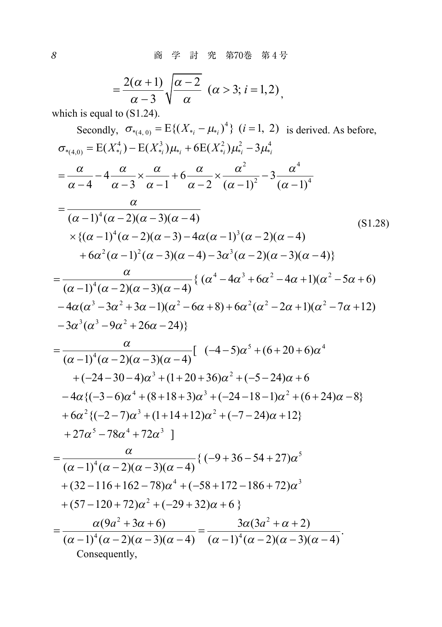8 商 学 討 究 第70巻 第 4 号

$$
=\frac{2(\alpha+1)}{\alpha-3}\sqrt{\frac{\alpha-2}{\alpha}}\ (\alpha>3;\ i=1,2),
$$

which is equal to  $(S1.24)$ .

Secondly, 
$$
\sigma_{*(4, 0)} = E\{(X_{*_{i}} - \mu_{*_{i}})^{4}\} (i = 1, 2)
$$
 is derived. As before,  
\n
$$
\sigma_{*(4, 0)} = E(X_{*_{i}}^{4}) - E(X_{*_{i}}^{3})\mu_{*_{i}} + 6E(X_{*_{i}}^{2})\mu_{*_{i}}^{2} - 3\mu_{*_{i}}^{4}
$$
\n
$$
= \frac{\alpha}{\alpha - 4} - \frac{4}{\alpha - 3} \times \frac{\alpha}{\alpha - 1} + \frac{\alpha}{\alpha - 2} \times \frac{\alpha^{2}}{(\alpha - 1)^{2}} - \frac{3}{(\alpha - 1)^{4}}
$$
\n
$$
= \frac{\alpha}{(\alpha - 1)^{4}(\alpha - 2)(\alpha - 3)(\alpha - 4)}
$$
\n
$$
\times \{(\alpha - 1)^{4}(\alpha - 2)(\alpha - 3) - 4\alpha(\alpha - 1)^{3}(\alpha - 2)(\alpha - 4) + 6\alpha^{2}(\alpha - 1)^{2}(\alpha - 3)(\alpha - 4) - 3\alpha^{3}(\alpha - 2)(\alpha - 3)(\alpha - 4)\}
$$
\n
$$
= \frac{\alpha}{(\alpha - 1)^{4}(\alpha - 2)(\alpha - 3)(\alpha - 4)} \{(\alpha^{4} - 4\alpha^{3} + 6\alpha^{2} - 4\alpha + 1)(\alpha^{2} - 5\alpha + 6) - 4\alpha(\alpha^{3} - 3\alpha^{2} + 3\alpha - 1)(\alpha^{2} - 6\alpha + 8) + 6\alpha^{2}(\alpha^{2} - 2\alpha + 1)(\alpha^{2} - 7\alpha + 12) - 3\alpha^{3}(\alpha^{3} - 9\alpha^{2} + 26\alpha - 24)\}
$$
\n
$$
= \frac{\alpha}{(\alpha - 1)^{4}(\alpha - 2)(\alpha - 3)(\alpha - 4)} \{(-4 - 5)\alpha^{5} + (6 + 20 + 6)\alpha^{4} + (-24 - 30 - 4)\alpha^{3} + (1 + 20 + 36)\alpha^{2} + (-5 - 24)\alpha + 6 - 4\alpha\{(-3 - 6)\alpha^{4} + (8 + 18 + 3)\alpha^{3} + (-24 - 18 - 1)\alpha^{2} + (6 + 24)\alpha - 8\} + 6\alpha
$$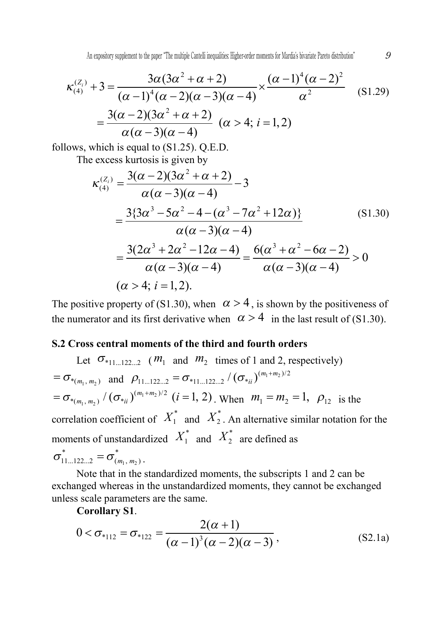$$
\kappa_{(4)}^{(Z_i)} + 3 = \frac{3\alpha(3\alpha^2 + \alpha + 2)}{(\alpha - 1)^4(\alpha - 2)(\alpha - 3)(\alpha - 4)} \times \frac{(\alpha - 1)^4(\alpha - 2)^2}{\alpha^2} \quad (81.29)
$$

$$
= \frac{3(\alpha - 2)(3\alpha^2 + \alpha + 2)}{\alpha(\alpha - 3)(\alpha - 4)} \quad (\alpha > 4; i = 1, 2)
$$

follows, which is equal to (S1.25). Q.E.D.

The excess kurtosis is given by

$$
\kappa_{(4)}^{(Z_i)} = \frac{3(\alpha - 2)(3\alpha^2 + \alpha + 2)}{\alpha(\alpha - 3)(\alpha - 4)} - 3
$$
  
= 
$$
\frac{3\{3\alpha^3 - 5\alpha^2 - 4 - (\alpha^3 - 7\alpha^2 + 12\alpha)\}}{\alpha(\alpha - 3)(\alpha - 4)} = \frac{3(2\alpha^3 + 2\alpha^2 - 12\alpha - 4)}{\alpha(\alpha - 3)(\alpha - 4)} = \frac{6(\alpha^3 + \alpha^2 - 6\alpha - 2)}{\alpha(\alpha - 3)(\alpha - 4)} > 0
$$
  
( $\alpha > 4; i = 1, 2$ ). (81.30)

The positive property of (S1.30), when  $\alpha > 4$ , is shown by the positiveness of the numerator and its first derivative when  $\alpha > 4$  in the last result of (S1.30).

## **S.2 Cross central moments of the third and fourth orders**

Let  $\sigma_{*11-122-2}$  ( $m_1$  and  $m_2$  times of 1 and 2, respectively)  $= \sigma_{*(m_1, m_2)}$  and  $\rho_{11...122...2} = \sigma_{*11...122...2} / (\sigma_{*ii})^{(m_1 + m_2)/2}$  $1 - m_2$  $_1$ ,  $m_2$  $= \sigma_{*_{(m_1, m_2)}} / (\sigma_{*_{ii}})^{(m_1 + m_2)/2}$   $(i = 1, 2)$ . When  $m_1 = m_2 = 1$ ,  $\rho_{12}$  is the correlation coefficient of  $X_1^*$  and  $X_2^*$ . An alternative similar notation for the moments of unstandardized  $X_1^*$  and  $X_2^*$  are defined as  $\sigma^*_{11...122...2} = \sigma^*_{(m_1, m_2)}$ .

Note that in the standardized moments, the subscripts 1 and 2 can be exchanged whereas in the unstandardized moments, they cannot be exchanged unless scale parameters are the same.

**Corollary S1**.

$$
0 < \sigma_{*112} = \sigma_{*122} = \frac{2(\alpha + 1)}{(\alpha - 1)^3 (\alpha - 2)(\alpha - 3)},
$$
 (S2.1a)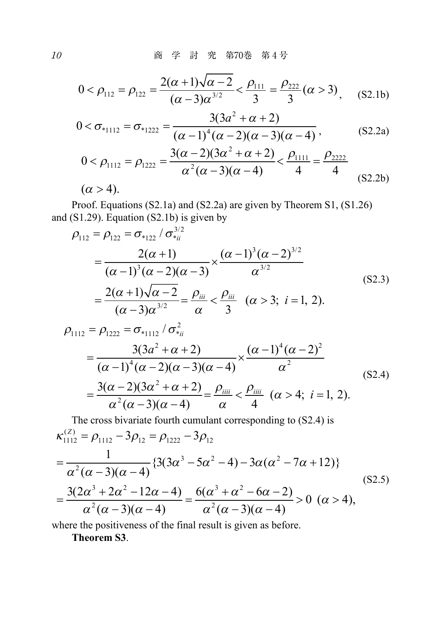$$
0 < \rho_{112} = \rho_{122} = \frac{2(\alpha + 1)\sqrt{\alpha - 2}}{(\alpha - 3)\alpha^{3/2}} < \frac{\rho_{111}}{3} = \frac{\rho_{222}}{3} (\alpha > 3), \quad (S2.1b)
$$

$$
0 < \sigma_{*_{1112}} = \sigma_{*_{1222}} = \frac{3(3a^2 + \alpha + 2)}{(\alpha - 1)^4 (\alpha - 2)(\alpha - 3)(\alpha - 4)},
$$
 (S2.2a)

$$
0 < \rho_{1112} = \rho_{1222} = \frac{3(\alpha - 2)(3\alpha^2 + \alpha + 2)}{\alpha^2(\alpha - 3)(\alpha - 4)} < \frac{\rho_{1111}}{4} = \frac{\rho_{2222}}{4}
$$
  
( $\alpha > 4$ ). (S2.2b)

Proof. Equations (S2.1a) and (S2.2a) are given by Theorem S1, (S1.26) and  $(S1.29)$ . Equation  $(S2.1b)$  is given by

$$
\rho_{112} = \rho_{122} = \sigma_{*122} / \sigma_{*ii}^{3/2}
$$
\n
$$
= \frac{2(\alpha + 1)}{(\alpha - 1)^3 (\alpha - 2)(\alpha - 3)} \times \frac{(\alpha - 1)^3 (\alpha - 2)^{3/2}}{\alpha^{3/2}}
$$
\n
$$
= \frac{2(\alpha + 1)\sqrt{\alpha - 2}}{(\alpha - 3)\alpha^{3/2}} = \frac{\rho_{ii}}{\alpha} < \frac{\rho_{iii}}{3} \quad (\alpha > 3; \ i = 1, 2).
$$
\n(S2.3)

$$
\rho_{1112} = \rho_{1222} = \sigma_{*1112} / \sigma_{*ii}^2
$$
  
= 
$$
\frac{3(3a^2 + \alpha + 2)}{(\alpha - 1)^4 (\alpha - 2)(\alpha - 3)(\alpha - 4)} \times \frac{(\alpha - 1)^4 (\alpha - 2)^2}{\alpha^2}
$$
  
= 
$$
\frac{3(\alpha - 2)(3\alpha^2 + \alpha + 2)}{\alpha^2 (\alpha - 3)(\alpha - 4)} = \frac{\rho_{iiii}}{\alpha} < \frac{\rho_{iiii}}{4} \quad (\alpha > 4; \ i = 1, 2).
$$
 (S2.4)

The cross bivariate fourth cumulant corresponding to (S2.4) is  
\n
$$
\kappa_{1112}^{(Z)} = \rho_{1112} - 3\rho_{12} = \rho_{1222} - 3\rho_{12}
$$
\n
$$
= \frac{1}{\alpha^2 (\alpha - 3)(\alpha - 4)} \{3(3\alpha^3 - 5\alpha^2 - 4) - 3\alpha(\alpha^2 - 7\alpha + 12)\}
$$
\n
$$
= \frac{3(2\alpha^3 + 2\alpha^2 - 12\alpha - 4)}{\alpha^2 (\alpha - 3)(\alpha - 4)} = \frac{6(\alpha^3 + \alpha^2 - 6\alpha - 2)}{\alpha^2 (\alpha - 3)(\alpha - 4)} > 0 \quad (\alpha > 4),
$$
\n(S2.5)

where the positiveness of the final result is given as before.

**Theorem S3**.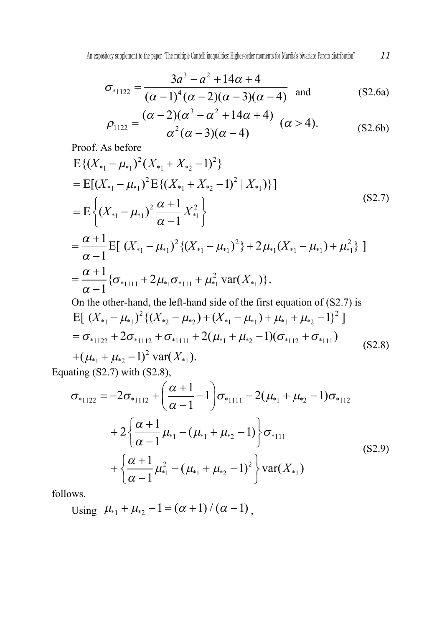$$
\sigma_{*1122} = \frac{3a^3 - a^2 + 14\alpha + 4}{(\alpha - 1)^4 (\alpha - 2)(\alpha - 3)(\alpha - 4)}
$$
 and (S2.6a)

$$
\rho_{1122} = \frac{(\alpha - 2)(\alpha^3 - \alpha^2 + 14\alpha + 4)}{\alpha^2(\alpha - 3)(\alpha - 4)} \quad (\alpha > 4). \tag{S2.6b}
$$

Proof. As before

$$
E\{(X_{*1} - \mu_{*1})^2 (X_{*1} + X_{*2} - 1)^2\}
$$
  
=  $E[(X_{*1} - \mu_{*1})^2 E\{(X_{*1} + X_{*2} - 1)^2 | X_{*1})\}]$   
=  $E\left\{(X_{*1} - \mu_{*1})^2 \frac{\alpha + 1}{\alpha - 1} X_{*1}^2\right\}$  (S2.7)  

$$
= \frac{\alpha + 1}{\alpha - 1} E[(X_{*1} - \mu_{*1})^2 \{(X_{*1} - \mu_{*1})^2\} + 2\mu_{*1}(X_{*1} - \mu_{*1}) + \mu_{*1}^2\}]
$$
  
=  $\frac{\alpha + 1}{\alpha - 1} \{\sigma_{*1111} + 2\mu_{*1}\sigma_{*111} + \mu_{*1}^2 \text{var}(X_{*1})\}.$   
On the other-hand, the left-hand side of the first equation of (S2.7) is

$$
\begin{aligned}\n\text{E} & \left[ \left( X_{*1} - \mu_{*1} \right)^2 \left\{ \left( X_{*2} - \mu_{*2} \right) + \left( X_{*1} - \mu_{*1} \right) + \mu_{*1} + \mu_{*2} - 1 \right\}^2 \right] \\
&= \sigma_{*1122} + 2\sigma_{*1112} + \sigma_{*1111} + 2(\mu_{*1} + \mu_{*2} - 1)(\sigma_{*112} + \sigma_{*111}) \\
&\quad + (\mu_{*1} + \mu_{*2} - 1)^2 \text{ var}(X_{*1}).\n\end{aligned}\n\tag{S2.8}
$$

Equating (S2.7) with (S2.8),

$$
\sigma_{*1122} = -2\sigma_{*1112} + \left(\frac{\alpha+1}{\alpha-1} - 1\right)\sigma_{*1111} - 2(\mu_{*1} + \mu_{*2} - 1)\sigma_{*112}
$$
  
+ 
$$
2\left\{\frac{\alpha+1}{\alpha-1}\mu_{*1} - (\mu_{*1} + \mu_{*2} - 1)\right\}\sigma_{*111}
$$
  
+ 
$$
\left\{\frac{\alpha+1}{\alpha-1}\mu_{*1}^2 - (\mu_{*1} + \mu_{*2} - 1)^2\right\}\text{var}(X_{*1})
$$
 (S2.9)

follows.

Using 
$$
\mu_{*1} + \mu_{*2} - 1 = (\alpha + 1) / (\alpha - 1)
$$
,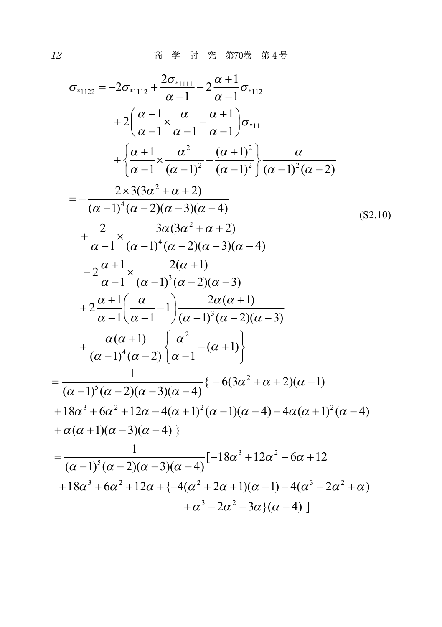$$
\sigma_{*1122} = -2\sigma_{*1112} + \frac{2\sigma_{*1111}}{\alpha - 1} - 2\frac{\alpha + 1}{\alpha - 1}\sigma_{*112}
$$
  
+2 $\left(\frac{\alpha + 1}{\alpha - 1} \times \frac{\alpha}{\alpha - 1} - \frac{\alpha + 1}{\alpha - 1}\right)\sigma_{*111}$   
+ $\left\{\frac{\alpha + 1}{\alpha - 1} \times \frac{\alpha^2}{(\alpha - 1)^2} - \frac{(\alpha + 1)^2}{(\alpha - 1)^2}\right\} \frac{\alpha}{(\alpha - 1)^2(\alpha - 2)}$   
= $-\frac{2 \times 3(3\alpha^2 + \alpha + 2)}{(\alpha - 1)^4(\alpha - 2)(\alpha - 3)(\alpha - 4)}$   
+ $\frac{2}{\alpha - 1} \times \frac{3\alpha(3\alpha^2 + \alpha + 2)}{(\alpha - 1)^4(\alpha - 2)(\alpha - 3)(\alpha - 4)}$   
- $2\frac{\alpha + 1}{\alpha - 1} \times \frac{2(\alpha + 1)}{(\alpha - 1)^3(\alpha - 2)(\alpha - 3)}$   
+ $2\frac{\alpha + 1}{\alpha - 1} \left(\frac{\alpha}{\alpha - 1} - 1\right) \frac{2\alpha(\alpha + 1)}{(\alpha - 1)^3(\alpha - 2)(\alpha - 3)}$   
+ $\frac{\alpha(\alpha + 1)}{(\alpha - 1)^4(\alpha - 2)} \left\{\frac{\alpha^2}{\alpha - 1} - (\alpha + 1)\right\}$   
= $\frac{1}{(\alpha - 1)^5(\alpha - 2)(\alpha - 3)(\alpha - 4)} \{-6(3\alpha^2 + \alpha + 2)(\alpha - 1)$   
+18 $\alpha^3 + 6\alpha^2 + 12\alpha - 4(\alpha + 1)^2(\alpha - 1)(\alpha - 4) + 4\alpha(\alpha + 1)^2(\alpha - 4)$   
+ $\alpha(\alpha + 1)(\alpha - 3)(\alpha - 4)$ }  
= $\frac{1}{(\alpha - 1)^5(\alpha - 2)(\alpha - 3)(\alpha - 4)} [-18\alpha^3 + 12\alpha^2 - 6\alpha + 12$   
+18 $\alpha^3 + 6\alpha^2 + 12\alpha + (-4(\alpha^2 + 2\alpha + 1)(\$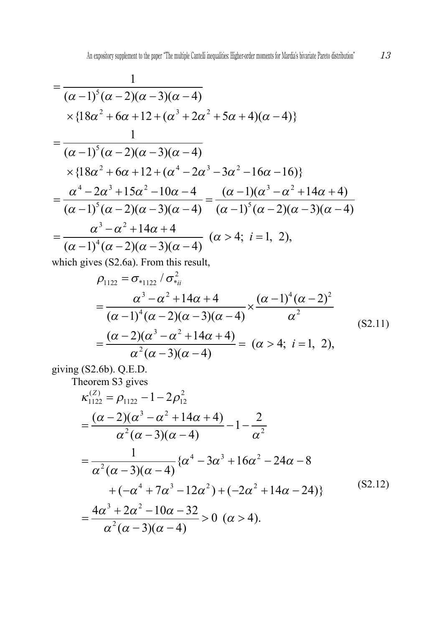$$
\begin{split}\n&= \frac{1}{(\alpha - 1)^5 (\alpha - 2)(\alpha - 3)(\alpha - 4)} \\
&\times \{18\alpha^2 + 6\alpha + 12 + (\alpha^3 + 2\alpha^2 + 5\alpha + 4)(\alpha - 4)\} \\
&= \frac{1}{(\alpha - 1)^5 (\alpha - 2)(\alpha - 3)(\alpha - 4)} \\
&\times \{18\alpha^2 + 6\alpha + 12 + (\alpha^4 - 2\alpha^3 - 3\alpha^2 - 16\alpha - 16)\} \\
&= \frac{\alpha^4 - 2\alpha^3 + 15\alpha^2 - 10\alpha - 4}{(\alpha - 1)^5 (\alpha - 2)(\alpha - 3)(\alpha - 4)} = \frac{(\alpha - 1)(\alpha^3 - \alpha^2 + 14\alpha + 4)}{(\alpha - 1)^5 (\alpha - 2)(\alpha - 3)(\alpha - 4)} \\
&= \frac{\alpha^3 - \alpha^2 + 14\alpha + 4}{(\alpha - 1)^4 (\alpha - 2)(\alpha - 3)(\alpha - 4)} \quad (\alpha > 4; \ i = 1, 2),\n\end{split}
$$
\nwhich gives (S3.65) From this result.

which gives (S2.6a). From this result,

$$
\rho_{1122} = \sigma_{*1122} / \sigma_{*ii}^2
$$
  
=  $\frac{\alpha^3 - \alpha^2 + 14\alpha + 4}{(\alpha - 1)^4 (\alpha - 2)(\alpha - 3)(\alpha - 4)} \times \frac{(\alpha - 1)^4 (\alpha - 2)^2}{\alpha^2}$   
=  $\frac{(\alpha - 2)(\alpha^3 - \alpha^2 + 14\alpha + 4)}{\alpha^2 (\alpha - 3)(\alpha - 4)} = (\alpha > 4; i = 1, 2),$  (S2.11)

giving (S2.6b). Q.E.D.

Theorem S3 gives

$$
\kappa_{1122}^{(2)} = \rho_{1122} - 1 - 2\rho_{12}^2
$$
  
= 
$$
\frac{(\alpha - 2)(\alpha^3 - \alpha^2 + 14\alpha + 4)}{\alpha^2 (\alpha - 3)(\alpha - 4)} - 1 - \frac{2}{\alpha^2}
$$
  
= 
$$
\frac{1}{\alpha^2 (\alpha - 3)(\alpha - 4)} \{\alpha^4 - 3\alpha^3 + 16\alpha^2 - 24\alpha - 8
$$
  
+ 
$$
(-\alpha^4 + 7\alpha^3 - 12\alpha^2) + (-2\alpha^2 + 14\alpha - 24)\}
$$
  
= 
$$
\frac{4\alpha^3 + 2\alpha^2 - 10\alpha - 32}{\alpha^2 (\alpha - 3)(\alpha - 4)} > 0 \ (\alpha > 4).
$$
 (S2.12)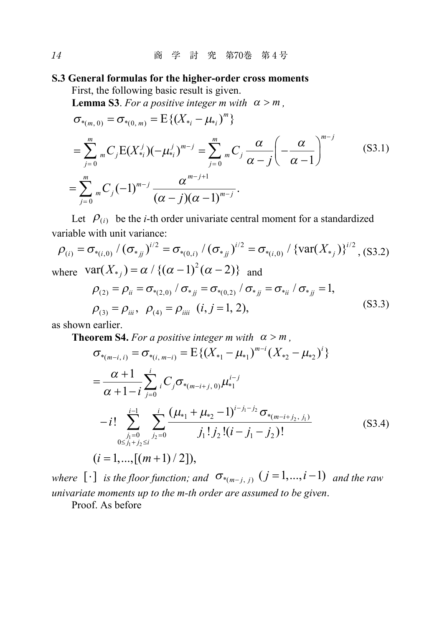## **S.3 General formulas for the higher-order cross moments**

First, the following basic result is given.

**Lemma S3**. For a positive integer m with  $\alpha > m$ ,

$$
\sigma_{*(m, 0)} = \sigma_{*(0, m)} = E\{(X_{*_i} - \mu_{*_i})^m\}
$$
\n
$$
= \sum_{j=0}^m {}_{m}C_j E(X_{*_i}^j)(-\mu_{*_i}^j)^{m-j} = \sum_{j=0}^m {}_{m}C_j \frac{\alpha}{\alpha - j} \left(-\frac{\alpha}{\alpha - 1}\right)^{m-j}
$$
\n
$$
= \sum_{j=0}^m {}_{m}C_j (-1)^{m-j} \frac{\alpha^{m-j+1}}{(\alpha - j)(\alpha - 1)^{m-j}}.
$$
\n(S3.1)

Let  $\mathcal{P}_{(i)}$  be the *i*-th order univariate central moment for a standardized variable with unit variance:

$$
\rho_{(i)} = \sigma_{*(i,0)} / (\sigma_{*jj})^{i/2} = \sigma_{*(0,i)} / (\sigma_{*jj})^{i/2} = \sigma_{*(i,0)} / \{var(X_{*j})\}^{i/2}, (S3.2)
$$
  
where  $var(X_{*j}) = \alpha / \{(\alpha - 1)^2(\alpha - 2)\}$  and

$$
\rho_{(2)} = \rho_{ii} = \sigma_{*(2,0)} / \sigma_{*jj} = \sigma_{*(0,2)} / \sigma_{*jj} = \sigma_{*ii} / \sigma_{*jj} = 1,
$$
  
\n
$$
\rho_{(3)} = \rho_{iii}, \ \rho_{(4)} = \rho_{iii} \ (i, j = 1, 2),
$$
\n(S3.3)

as shown earlier.

**Theorem S4.** For a positive integer m with  $\alpha > m$ ,

$$
\sigma_{*(m-i,i)} = \sigma_{*(i, m-i)} = E\{(X_{*1} - \mu_{*1})^{m-i} (X_{*2} - \mu_{*2})^i\}
$$
  
\n
$$
= \frac{\alpha + 1}{\alpha + 1 - i} \sum_{j=0}^i C_j \sigma_{*(m-i+j, 0)} \mu_{*1}^{i-j}
$$
  
\n
$$
-i! \sum_{\substack{j_1=0 \ 0 \le j_1+j_2 \le i}}^i \sum_{j_2=0}^i \frac{(\mu_{*1} + \mu_{*2} - 1)^{i-j_1-j_2} \sigma_{*(m-i+j_2, j_1)}}{j_1! j_2! (i - j_1 - j_2)!}
$$
 (S3.4)  
\n
$$
(i = 1, ..., [(m+1)/2]),
$$

*where*  $[\cdot]$  *is the floor function; and*  $\sigma_{*(m-j, j)}$   $(j = 1, ..., i-1)$  *and the raw univariate moments up to the m-th order are assumed to be given*.

Proof. As before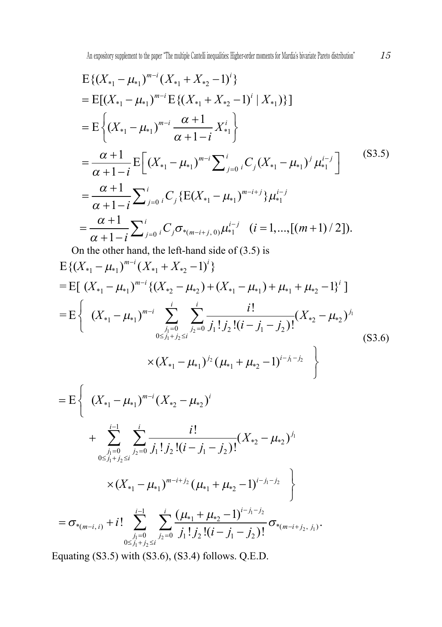$$
E\{(X_{*1} - \mu_{*1})^{m-i} (X_{*1} + X_{*2} - 1)^i\}
$$
  
= 
$$
E[(X_{*1} - \mu_{*1})^{m-i} E\{(X_{*1} + X_{*2} - 1)^i | X_{*1})\}]
$$
  
= 
$$
E\left\{(X_{*1} - \mu_{*1})^{m-i} \frac{\alpha + 1}{\alpha + 1 - i} X_{*1}^i\right\}
$$
  
= 
$$
\frac{\alpha + 1}{\alpha + 1 - i} E\left[(X_{*1} - \mu_{*1})^{m-i} \sum_{j=0}^i C_j (X_{*1} - \mu_{*1})^j \mu_{*1}^{i-j}\right]
$$
  
= 
$$
\frac{\alpha + 1}{\alpha + 1 - i} \sum_{j=0}^i C_j \{E(X_{*1} - \mu_{*1})^{m-i+j}\} \mu_{*1}^{i-j}
$$
  
= 
$$
\frac{\alpha + 1}{\alpha + 1 - i} \sum_{j=0}^i C_j \sigma_{*(m-i+j, 0)} \mu_{*1}^{i-j} \quad (i = 1, ..., [(m+1)/2]).
$$
  
On the other hand, the left-hand side of (3.5) is

$$
E\{(X_{*1} - \mu_{*1})^{m-i} (X_{*1} + X_{*2} - 1)^i\}
$$
  
\n
$$
= E[(X_{*1} - \mu_{*1})^{m-i} \{(X_{*2} - \mu_{*2}) + (X_{*1} - \mu_{*1}) + \mu_{*1} + \mu_{*2} - 1\}^i]
$$
  
\n
$$
= E\left\{ (X_{*1} - \mu_{*1})^{m-i} \sum_{\substack{j_1=0 \ j_2=0 \ j_1+j_2 \le i}}^{i} \sum_{j_2=0}^{i} \frac{i!}{j_1! j_2! (i-j_1-j_2)!} (X_{*2} - \mu_{*2})^{j_1} \right\}
$$
  
\n
$$
\times (X_{*1} - \mu_{*1})^{j_2} (\mu_{*1} + \mu_{*2} - 1)^{i-j_1-j_2}
$$
\n(S3.6)

$$
= \mathcal{E}\left\{\begin{array}{l}\n(X_{*1} - \mu_{*1})^{m-i}(X_{*2} - \mu_{*2})^i \\
+ \sum_{\substack{j_1=0 \ 0 \le j_1+j_2 \le i}} \sum_{j_2=0}^i \frac{i!}{j_1!j_2!(i-j_1-j_2)!}(X_{*2} - \mu_{*2})^{j_1} \\
\times (X_{*1} - \mu_{*1})^{m-i+j_2}(\mu_{*1} + \mu_{*2} - 1)^{i-j_1-j_2}\n\end{array}\right\}
$$
\n
$$
= \sigma_{*(m-i,i)} + i! \sum_{\substack{j_1=0 \ 0 \le j_1+j_2 \le i}} \sum_{j_2=0}^i \frac{(\mu_{*1} + \mu_{*2} - 1)^{i-j_1-j_2}}{j_1!j_2!(i-j_1-j_2)!} \sigma_{*(m-i+j_2,j_1)}.
$$

Equating (S3.5) with (S3.6), (S3.4) follows. Q.E.D.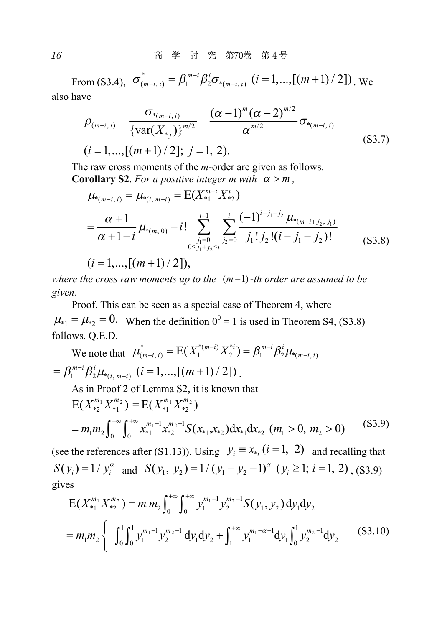From (S3.4),  $\sigma_{(m-i,i)}^* = \beta_1^{m-i} \beta_2^i \sigma_{*(m-i,i)}$   $(i = 1,...,[(m+1)/2])$  *we* also have

$$
\rho_{(m-i,i)} = \frac{\sigma_{*(m-i,i)}}{\left\{ \text{var}(X_{*j}) \right\}^{m/2}} = \frac{(\alpha - 1)^m (\alpha - 2)^{m/2}}{\alpha^{m/2}} \sigma_{*(m-i,i)}
$$
\n
$$
(i = 1, ..., [(m+1)/2]; j = 1, 2).
$$
\n(S3.7)

The raw cross moments of the *m*-order are given as follows.

**Corollary S2.** For a positive integer m with 
$$
\alpha > m
$$
,  
\n
$$
\mu_{*(m-i, i)} = \mu_{*(i, m-i)} = E(X_{*1}^{m-i} X_{*2}^i)
$$

$$
= \frac{\alpha+1}{\alpha+1-i} \mu_{*(m,0)} - i! \sum_{\substack{j_1=0 \ j_2 \neq j}}^{i-1} \sum_{j_2=0}^i \frac{(-1)^{i-j_1-j_2} \mu_{*(m-i+j_2,j_1)}}{j_1! j_2! (i-j_1-j_2)!}
$$
(S3.8)

 $(i = 1, ..., [(m + 1) / 2]),$ 

*where the cross raw moments up to the*  $(m-1)$ -*th order are assumed to be given*.

Proof. This can be seen as a special case of Theorem 4, where  $\mu_{*1} = \mu_{*2} = 0$ . When the definition  $0^0 = 1$  is used in Theorem S4, (S3.8) follows. Q.E.D.

We note that 
$$
\mu_{(m-i, i)}^* = E(X_1^{*(m-i)} X_2^{*i}) = \beta_1^{m-i} \beta_2^i \mu_{*(m-i, i)}
$$
  
\n $= \beta_1^{m-i} \beta_2^i \mu_{*(i, m-i)} \quad (i = 1, ..., [(m+1)/2])$ .  
\nAs in Proof 2 of Lemma S2, it is known that  
\n $E(X_{*2}^{m_1} X_{*1}^{m_2}) = E(X_{*1}^{m_1} X_{*2}^{m_2})$ 

$$
=m_1m_2\int_0^{+\infty}\int_0^{+\infty}x_{*1}^{m_1-1}x_{*2}^{m_2-1}S(x_{*1},x_{*2})dx_{*1}dx_{*2} \ (m_1>0, m_2>0) \tag{S3.9}
$$

(see the references after (S1.13)). Using  $y_i = x_{*_i}$  ( $i = 1, 2$ ) and recalling that  $S(y_i) = 1/y_i^{\alpha}$  and  $S(y_1, y_2) = 1/(y_1 + y_2 - 1)^{\alpha}$   $(y_i \ge 1; i = 1, 2)$ , (S3.9) gives

$$
E(X_{*1}^{m_1} X_{*2}^{m_2}) = m_1 m_2 \int_0^{+\infty} \int_0^{+\infty} y_1^{m_1-1} y_2^{m_2-1} S(y_1, y_2) dy_1 dy_2
$$
  
=  $m_1 m_2 \left\{ \int_0^1 \int_0^1 y_1^{m_1-1} y_2^{m_2-1} dy_1 dy_2 + \int_1^{+\infty} y_1^{m_1-\alpha-1} dy_1 \int_0^1 y_2^{m_2-1} dy_2 \right\}$  (S3.10)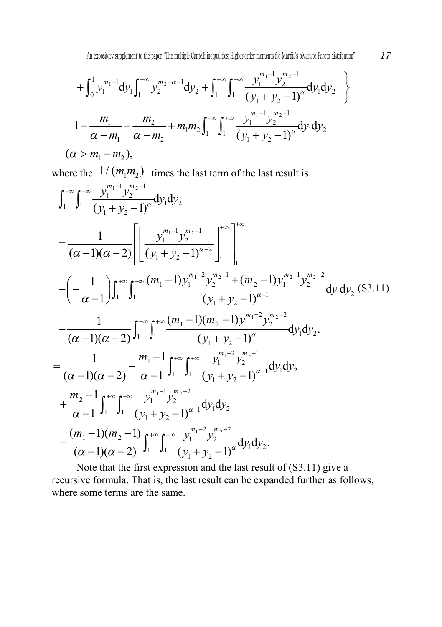$$
+ \int_0^1 y_1^{m_1-1} dy_1 \int_1^{+\infty} y_2^{m_2-\alpha-1} dy_2 + \int_1^{+\infty} \int_1^{+\infty} \frac{y_1^{m_1-1} y_2^{m_2-1}}{(y_1 + y_2 - 1)^{\alpha}} dy_1 dy_2
$$
  
=  $1 + \frac{m_1}{\alpha - m_1} + \frac{m_2}{\alpha - m_2} + m_1 m_2 \int_1^{+\infty} \int_1^{+\infty} \frac{y_1^{m_1-1} y_2^{m_2-1}}{(y_1 + y_2 - 1)^{\alpha}} dy_1 dy_2$   
( $\alpha > m_1 + m_2$ ),

where the  $1/(m_1 m_2)$  times the last term of the last result is

$$
\int_{1}^{+\infty} \int_{1}^{+\infty} \frac{y_{1}^{m_{1}-1} y_{2}^{m_{2}-1}}{(y_{1}+y_{2}-1)^{\alpha}} dy_{1} dy_{2}
$$
\n=
$$
\frac{1}{(\alpha-1)(\alpha-2)} \Biggl[ \Biggl[ \frac{y_{1}^{m_{1}-1} y_{2}^{m_{2}-1}}{(y_{1}+y_{2}-1)^{\alpha-2}} \Biggr]_{1}^{+\infty} \Biggr]_{1}^{+\infty}
$$
\n
$$
- \Biggl( -\frac{1}{\alpha-1} \Biggr) \int_{1}^{+\infty} \int_{1}^{+\infty} \frac{(m_{1}-1) y_{1}^{m_{1}-2} y_{2}^{m_{2}-1} + (m_{2}-1) y_{1}^{m_{2}-1} y_{2}^{m_{2}-2}}{(y_{1}+y_{2}-1)^{\alpha-1}} dy_{1} dy_{2} \text{ (S3.11)}
$$
\n
$$
- \frac{1}{(\alpha-1)(\alpha-2)} \int_{1}^{+\infty} \int_{1}^{+\infty} \frac{(m_{1}-1)(m_{2}-1) y_{1}^{m_{1}-2} y_{2}^{m_{2}-2}}{(y_{1}+y_{2}-1)^{\alpha}} dy_{1} dy_{2}.
$$
\n=
$$
\frac{1}{(\alpha-1)(\alpha-2)} + \frac{m_{1}-1}{\alpha-1} \int_{1}^{+\infty} \int_{1}^{+\infty} \frac{y_{1}^{m_{1}-2} y_{2}^{m_{2}-1}}{(y_{1}+y_{2}-1)^{\alpha-1}} dy_{1} dy_{2}
$$
\n
$$
+ \frac{m_{2}-1}{\alpha-1} \int_{1}^{+\infty} \int_{1}^{+\infty} \frac{y_{1}^{m_{1}-1} y_{2}^{m_{2}-2}}{(y_{1}+y_{2}-1)^{\alpha-1}} dy_{1} dy_{2}
$$
\n
$$
- \frac{(m_{1}-1)(m_{2}-1)}{(\alpha-1)(\alpha-2)} \int_{1}^{+\infty} \int_{1}^{+\infty} \frac{y_{1}^{m_{1}-2} y_{2}^{m_{2}-2}}{(y_{1}+y_{2}-1)^{\alpha}} dy_{1} dy_{2}.
$$

Note that the first expression and the last result of (S3.11) give a recursive formula. That is, the last result can be expanded further as follows, where some terms are the same.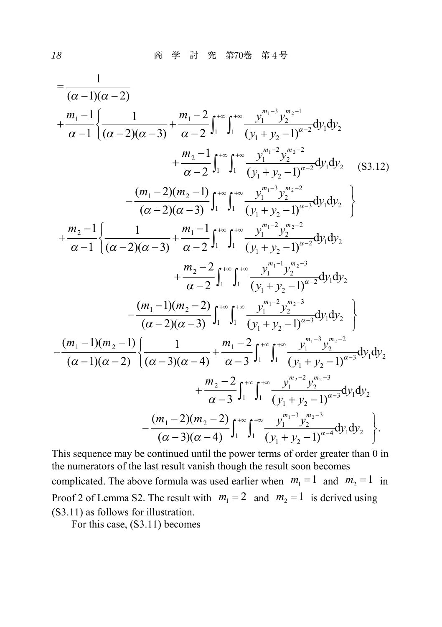$$
= \frac{1}{(\alpha - 1)(\alpha - 2)}
$$
  
+  $\frac{m_1 - 1}{\alpha - 1} \left\{ \frac{1}{(\alpha - 2)(\alpha - 3)} + \frac{m_1 - 2}{\alpha - 2} \int_1^{+\infty} \int_1^{+\infty} \frac{y_1^{m_1 - 3} y_2^{m_2 - 1}}{(y_1 + y_2 - 1)^{\alpha - 2}} dy_1 dy_2 + \frac{m_2 - 1}{\alpha - 2} \int_1^{+\infty} \int_1^{+\infty} \frac{y_1^{m_1 - 2} y_2^{m_2 - 2}}{(y_1 + y_2 - 1)^{\alpha - 2}} dy_1 dy_2 \right\} - \frac{(m_1 - 2)(m_2 - 1)}{(\alpha - 2)(\alpha - 3)} \int_1^{+\infty} \int_1^{+\infty} \frac{y_1^{m_1 - 3} y_2^{m_2 - 2}}{(y_1 + y_2 - 1)^{\alpha - 3}} dy_1 dy_2 + \frac{m_2 - 1}{\alpha - 1} \left\{ \frac{1}{(\alpha - 2)(\alpha - 3)} + \frac{m_1 - 1}{\alpha - 2} \int_1^{+\infty} \int_1^{+\infty} \frac{y_1^{m_1 - 2} y_2^{m_2 - 2}}{(y_1 + y_2 - 1)^{\alpha - 2}} dy_1 dy_2 + \frac{m_2 - 2}{\alpha - 2} \int_1^{+\infty} \int_1^{+\infty} \frac{y_1^{m_1 - 2} y_2^{m_2 - 3}}{(y_1 + y_2 - 1)^{\alpha - 2}} dy_1 dy_2 - \frac{(m_1 - 1)(m_2 - 2)}{(\alpha - 2)(\alpha - 3)} \int_1^{+\infty} \int_1^{+\infty} \frac{y_1^{m_1 - 2} y_2^{m_2 - 3}}{(y_1 + y_2 - 1)^{\alpha - 3}} dy_1 dy_2 + \frac{(m_1 - 1)(m_2 - 1)}{(\alpha - 1)(\alpha - 2)} \left\{ \frac{1}{(\alpha - 3)(\alpha - 4)} + \frac{m_1 - 2}{\alpha - 3} \int_1^{+\infty} \int_1^{+\infty} \frac{y_1^{m_1 - 3} y_2^{m_2 - 3}}{(y_1 + y_2 -$ 

This sequence may be continued until the power terms of order greater than 0 in the numerators of the last result vanish though the result soon becomes complicated. The above formula was used earlier when  $m_1 = 1$  and  $m_2 = 1$  in Proof 2 of Lemma S2. The result with  $m_1 = 2$  and  $m_2 = 1$  is derived using (S3.11) as follows for illustration.

For this case, (S3.11) becomes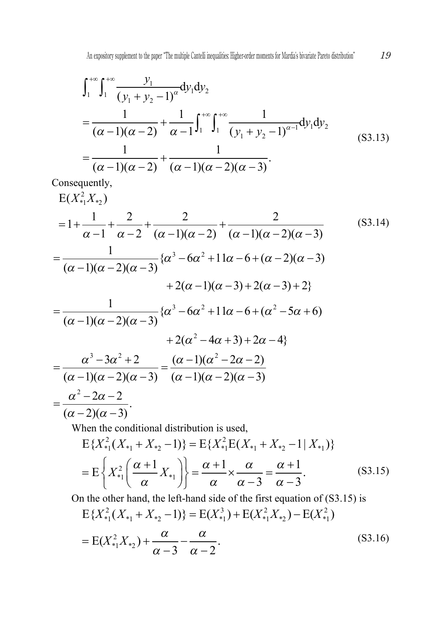$$
\int_{1}^{+\infty} \int_{1}^{+\infty} \frac{y_1}{(y_1 + y_2 - 1)^{\alpha}} dy_1 dy_2
$$
  
= 
$$
\frac{1}{(\alpha - 1)(\alpha - 2)} + \frac{1}{\alpha - 1} \int_{1}^{+\infty} \int_{1}^{+\infty} \frac{1}{(y_1 + y_2 - 1)^{\alpha - 1}} dy_1 dy_2
$$
  
= 
$$
\frac{1}{(\alpha - 1)(\alpha - 2)} + \frac{1}{(\alpha - 1)(\alpha - 2)(\alpha - 3)}.
$$
 (S3.13)

Consequently,  
\n
$$
E(X_{*1}^{2}X_{*2})
$$
\n
$$
= 1 + \frac{1}{\alpha - 1} + \frac{2}{\alpha - 2} + \frac{2}{(\alpha - 1)(\alpha - 2)} + \frac{2}{(\alpha - 1)(\alpha - 2)(\alpha - 3)}
$$
\n
$$
= \frac{1}{(\alpha - 1)(\alpha - 2)(\alpha - 3)} \{ \alpha^{3} - 6\alpha^{2} + 11\alpha - 6 + (\alpha - 2)(\alpha - 3) + 2(\alpha - 1)(\alpha - 3) + 2(\alpha - 1)(\alpha - 3) + 2(\alpha - 3) + 2 \}
$$
\n
$$
= \frac{1}{(\alpha - 1)(\alpha - 2)(\alpha - 3)} \{ \alpha^{3} - 6\alpha^{2} + 11\alpha - 6 + (\alpha^{2} - 5\alpha + 6) + 2(\alpha^{2} - 4\alpha + 3) + 2\alpha - 4 \}
$$
\n
$$
= \frac{\alpha^{3} - 3\alpha^{2} + 2}{(\alpha - 1)(\alpha - 2)(\alpha - 3)} = \frac{(\alpha - 1)(\alpha^{2} - 2\alpha - 2)}{(\alpha - 1)(\alpha - 2)(\alpha - 3)}
$$
\n
$$
= \frac{\alpha^{2} - 2\alpha - 2}{(\alpha - 2)(\alpha - 3)}.
$$
\nWhen the conditional distribution is used,

$$
E\{X_{*1}^2(X_{*1} + X_{*2} - 1)\} = E\{X_{*1}^2E(X_{*1} + X_{*2} - 1 | X_{*1})\}
$$

$$
= E\left\{X_{*1}^2\left(\frac{\alpha + 1}{\alpha}X_{*1}\right)\right\} = \frac{\alpha + 1}{\alpha} \times \frac{\alpha}{\alpha - 3} = \frac{\alpha + 1}{\alpha - 3}.
$$
(S3.15)

On the other hand, the left-hand side of the first equation of (S3.15) is  $2(V + V - 1) = \Gamma(V^3) + \Gamma(V^2 V) - \Gamma(V^2)$  $E{X_{*1}^2(X_{*1}+X_{*2}-1)}=E(X_{*1}^3)+E(X_{*1}^2X_{*2})-E(X_{*1}^2)$ 

$$
= E(X_{*1}^{2}X_{*2}) + \frac{\alpha}{\alpha - 3} - \frac{\alpha}{\alpha - 2}.
$$
 (S3.16)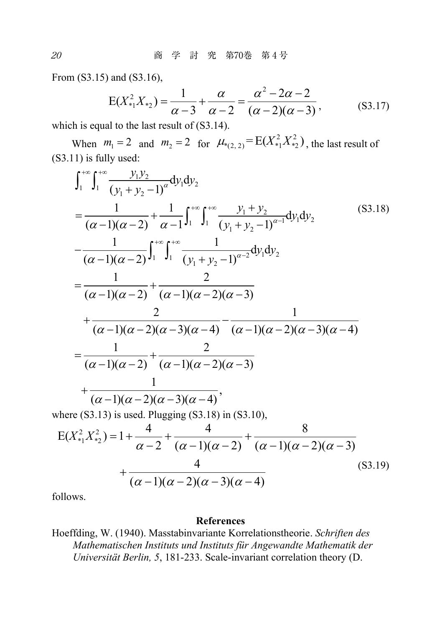From (S3.15) and (S3.16),

$$
E(X_{*1}^2 X_{*2}) = \frac{1}{\alpha - 3} + \frac{\alpha}{\alpha - 2} = \frac{\alpha^2 - 2\alpha - 2}{(\alpha - 2)(\alpha - 3)},
$$
(S3.17)

which is equal to the last result of  $(S3.14)$ .

When  $m_1 = 2$  and  $m_2 = 2$  for  $\mu_{*(2, 2)} = E(X_{*1}^2 X_{*2}^2)$ , the last result of (S3.11) is fully used:

$$
\int_{1}^{+\infty} \int_{1}^{+\infty} \frac{y_{1}y_{2}}{(y_{1} + y_{2} - 1)^{\alpha}} dy_{1} dy_{2}
$$
\n=
$$
\frac{1}{(\alpha - 1)(\alpha - 2)} + \frac{1}{\alpha - 1} \int_{1}^{+\infty} \int_{1}^{+\infty} \frac{y_{1} + y_{2}}{(y_{1} + y_{2} - 1)^{\alpha - 1}} dy_{1} dy_{2}
$$
\n=
$$
\frac{1}{(\alpha - 1)(\alpha - 2)} \int_{1}^{+\infty} \int_{1}^{+\infty} \frac{1}{(y_{1} + y_{2} - 1)^{\alpha - 2}} dy_{1} dy_{2}
$$
\n=
$$
\frac{1}{(\alpha - 1)(\alpha - 2)} + \frac{2}{(\alpha - 1)(\alpha - 2)(\alpha - 3)}
$$
\n+
$$
\frac{2}{(\alpha - 1)(\alpha - 2)(\alpha - 3)(\alpha - 4)} - \frac{1}{(\alpha - 1)(\alpha - 2)(\alpha - 3)(\alpha - 4)}
$$
\n=
$$
\frac{1}{(\alpha - 1)(\alpha - 2)} + \frac{2}{(\alpha - 1)(\alpha - 2)(\alpha - 3)}
$$
\n+
$$
\frac{1}{(\alpha - 1)(\alpha - 2)(\alpha - 3)(\alpha - 4)},
$$
\nwhere (S3.13) is used. Plugging (S3.18) in (S3.10),  
\nE(X<sup>2</sup><sub>1</sub>, X<sup>2</sup><sub>2</sub>) = 1 +  $\frac{4}{\alpha - 2} + \frac{4}{(\alpha - 1)(\alpha - 2)} + \frac{8}{(\alpha - 1)(\alpha - 2)(\alpha - 3)}$   
\n+
$$
\frac{4}{(\alpha - 1)(\alpha - 2)(\alpha - 3)(\alpha - 4)}
$$
\n(S3.19)

follows.

#### References

Hoeffding, W. (1940). Masstabinvariante Korrelationstheorie. Schriften des Mathematischen Instituts und Instituts für Angewandte Mathematik der Universität Berlin, 5, 181-233. Scale-invariant correlation theory (D.